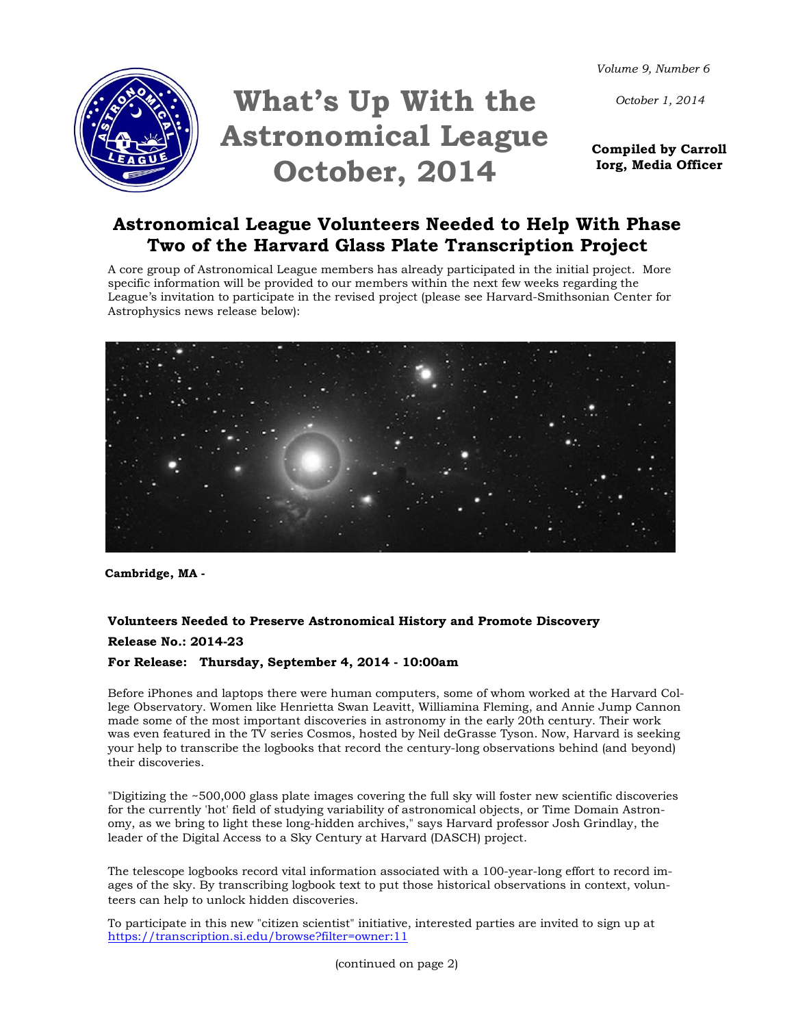*Volume 9, Number 6*

*October 1, 2014*



# **What's Up With the Astronomical League October, 2014**

**Compiled by Carroll Iorg, Media Officer** 

## **Astronomical League Volunteers Needed to Help With Phase Two of the Harvard Glass Plate Transcription Project**

A core group of Astronomical League members has already participated in the initial project. More specific information will be provided to our members within the next few weeks regarding the League's invitation to participate in the revised project (please see Harvard-Smithsonian Center for Astrophysics news release below):



**Cambridge, MA -**

## **Volunteers Needed to Preserve Astronomical History and Promote Discovery Release No.: 2014-23**

### **For Release: Thursday, September 4, 2014 - 10:00am**

Before iPhones and laptops there were human computers, some of whom worked at the Harvard College Observatory. Women like Henrietta Swan Leavitt, Williamina Fleming, and Annie Jump Cannon made some of the most important discoveries in astronomy in the early 20th century. Their work was even featured in the TV series Cosmos, hosted by Neil deGrasse Tyson. Now, Harvard is seeking your help to transcribe the logbooks that record the century-long observations behind (and beyond) their discoveries.

"Digitizing the ~500,000 glass plate images covering the full sky will foster new scientific discoveries for the currently 'hot' field of studying variability of astronomical objects, or Time Domain Astronomy, as we bring to light these long-hidden archives," says Harvard professor Josh Grindlay, the leader of the Digital Access to a Sky Century at Harvard (DASCH) project.

The telescope logbooks record vital information associated with a 100-year-long effort to record images of the sky. By transcribing logbook text to put those historical observations in context, volunteers can help to unlock hidden discoveries.

To participate in this new "citizen scientist" initiative, interested parties are invited to sign up at <https://transcription.si.edu/browse?filter=owner:11>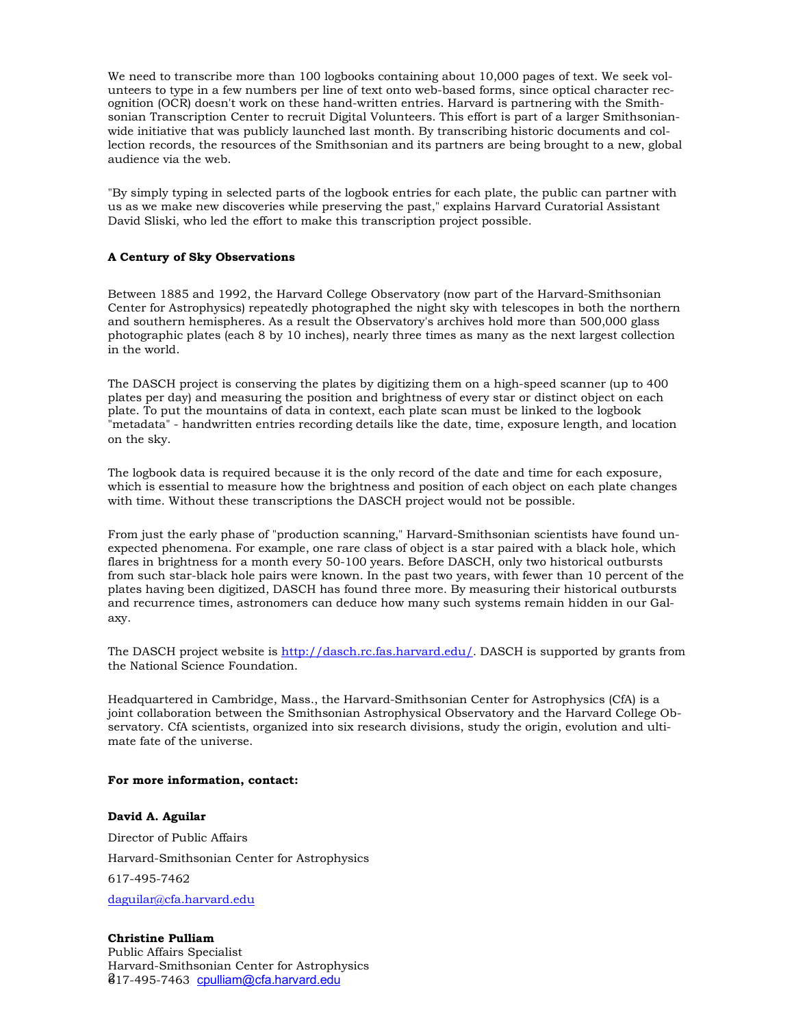We need to transcribe more than 100 logbooks containing about 10,000 pages of text. We seek volunteers to type in a few numbers per line of text onto web-based forms, since optical character recognition (OCR) doesn't work on these hand-written entries. Harvard is partnering with the Smithsonian Transcription Center to recruit Digital Volunteers. This effort is part of a larger Smithsonianwide initiative that was publicly launched last month. By transcribing historic documents and collection records, the resources of the Smithsonian and its partners are being brought to a new, global audience via the web.

"By simply typing in selected parts of the logbook entries for each plate, the public can partner with us as we make new discoveries while preserving the past," explains Harvard Curatorial Assistant David Sliski, who led the effort to make this transcription project possible.

#### **A Century of Sky Observations**

Between 1885 and 1992, the Harvard College Observatory (now part of the Harvard-Smithsonian Center for Astrophysics) repeatedly photographed the night sky with telescopes in both the northern and southern hemispheres. As a result the Observatory's archives hold more than 500,000 glass photographic plates (each 8 by 10 inches), nearly three times as many as the next largest collection in the world.

The DASCH project is conserving the plates by digitizing them on a high-speed scanner (up to 400 plates per day) and measuring the position and brightness of every star or distinct object on each plate. To put the mountains of data in context, each plate scan must be linked to the logbook "metadata" - handwritten entries recording details like the date, time, exposure length, and location on the sky.

The logbook data is required because it is the only record of the date and time for each exposure, which is essential to measure how the brightness and position of each object on each plate changes with time. Without these transcriptions the DASCH project would not be possible.

From just the early phase of "production scanning," Harvard-Smithsonian scientists have found unexpected phenomena. For example, one rare class of object is a star paired with a black hole, which flares in brightness for a month every 50-100 years. Before DASCH, only two historical outbursts from such star-black hole pairs were known. In the past two years, with fewer than 10 percent of the plates having been digitized, DASCH has found three more. By measuring their historical outbursts and recurrence times, astronomers can deduce how many such systems remain hidden in our Galaxy.

The DASCH project website is [http://dasch.rc.fas.harvard.edu/.](http://dasch.rc.fas.harvard.edu/) DASCH is supported by grants from the National Science Foundation.

Headquartered in Cambridge, Mass., the Harvard-Smithsonian Center for Astrophysics (CfA) is a joint collaboration between the Smithsonian Astrophysical Observatory and the Harvard College Observatory. CfA scientists, organized into six research divisions, study the origin, evolution and ultimate fate of the universe.

#### **For more information, contact:**

## **David A. Aguilar** Director of Public Affairs Harvard-Smithsonian Center for Astrophysics 617-495-7462 [daguilar@cfa.harvard.edu](mailto:daguilar@cfa.harvard.edu)

817-495-7463 [cpulliam@cfa.harvard.edu](mailto:cpulliam@cfa.harvard.edu) **Christine Pulliam** Public Affairs Specialist Harvard-Smithsonian Center for Astrophysics